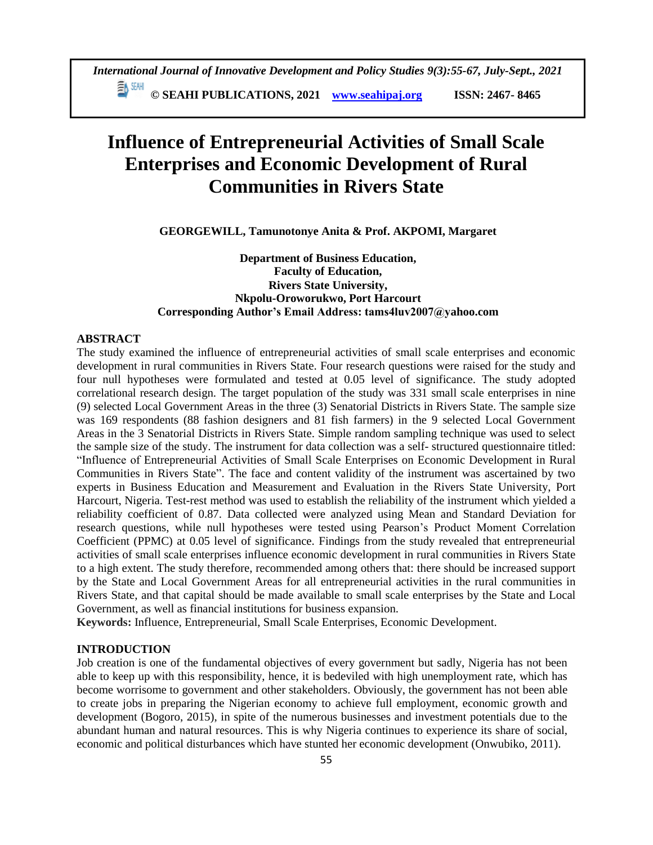# **Influence of Entrepreneurial Activities of Small Scale Enterprises and Economic Development of Rural Communities in Rivers State**

**GEORGEWILL, Tamunotonye Anita & Prof. AKPOMI, Margaret**

# **Department of Business Education, Faculty of Education, Rivers State University, Nkpolu-Oroworukwo, Port Harcourt Corresponding Author's Email Address: tams4luv2007@yahoo.com**

#### **ABSTRACT**

The study examined the influence of entrepreneurial activities of small scale enterprises and economic development in rural communities in Rivers State. Four research questions were raised for the study and four null hypotheses were formulated and tested at 0.05 level of significance. The study adopted correlational research design. The target population of the study was 331 small scale enterprises in nine (9) selected Local Government Areas in the three (3) Senatorial Districts in Rivers State. The sample size was 169 respondents (88 fashion designers and 81 fish farmers) in the 9 selected Local Government Areas in the 3 Senatorial Districts in Rivers State. Simple random sampling technique was used to select the sample size of the study. The instrument for data collection was a self- structured questionnaire titled: "Influence of Entrepreneurial Activities of Small Scale Enterprises on Economic Development in Rural Communities in Rivers State". The face and content validity of the instrument was ascertained by two experts in Business Education and Measurement and Evaluation in the Rivers State University, Port Harcourt, Nigeria. Test-rest method was used to establish the reliability of the instrument which yielded a reliability coefficient of 0.87. Data collected were analyzed using Mean and Standard Deviation for research questions, while null hypotheses were tested using Pearson's Product Moment Correlation Coefficient (PPMC) at 0.05 level of significance. Findings from the study revealed that entrepreneurial activities of small scale enterprises influence economic development in rural communities in Rivers State to a high extent. The study therefore, recommended among others that: there should be increased support by the State and Local Government Areas for all entrepreneurial activities in the rural communities in Rivers State, and that capital should be made available to small scale enterprises by the State and Local Government, as well as financial institutions for business expansion.

**Keywords:** Influence, Entrepreneurial, Small Scale Enterprises, Economic Development.

## **INTRODUCTION**

Job creation is one of the fundamental objectives of every government but sadly, Nigeria has not been able to keep up with this responsibility, hence, it is bedeviled with high unemployment rate, which has become worrisome to government and other stakeholders. Obviously, the government has not been able to create jobs in preparing the Nigerian economy to achieve full employment, economic growth and development (Bogoro, 2015), in spite of the numerous businesses and investment potentials due to the abundant human and natural resources. This is why Nigeria continues to experience its share of social, economic and political disturbances which have stunted her economic development (Onwubiko, 2011).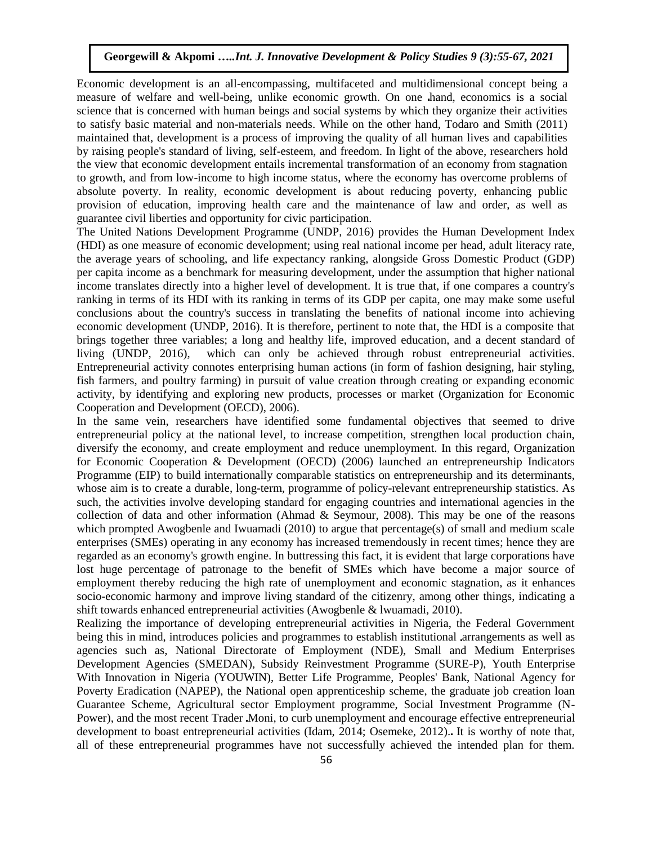Economic development is an all-encompassing, multifaceted and multidimensional concept being a measure of welfare and well-being, unlike economic growth. On one hand, economics is a social science that is concerned with human beings and social systems by which they organize their activities to satisfy basic material and non-materials needs. While on the other hand, Todaro and Smith (2011) maintained that, development is a process of improving the quality of all human lives and capabilities by raising people's standard of living, self-esteem, and freedom. In light of the above, researchers hold the view that economic development entails incremental transformation of an economy from stagnation to growth, and from low-income to high income status, where the economy has overcome problems of absolute poverty. In reality, economic development is about reducing poverty, enhancing public provision of education, improving health care and the maintenance of law and order, as well as guarantee civil liberties and opportunity for civic participation.

The United Nations Development Programme (UNDP, 2016) provides the Human Development Index (HDI) as one measure of economic development; using real national income per head, adult literacy rate, the average years of schooling, and life expectancy ranking, alongside Gross Domestic Product (GDP) per capita income as a benchmark for measuring development, under the assumption that higher national income translates directly into a higher level of development. It is true that, if one compares a country's ranking in terms of its HDI with its ranking in terms of its GDP per capita, one may make some useful conclusions about the country's success in translating the benefits of national income into achieving economic development (UNDP, 2016). It is therefore, pertinent to note that, the HDI is a composite that brings together three variables; a long and healthy life, improved education, and a decent standard of living (UNDP, 2016), which can only be achieved through robust entrepreneurial activities. Entrepreneurial activity connotes enterprising human actions (in form of fashion designing, hair styling, fish farmers, and poultry farming) in pursuit of value creation through creating or expanding economic activity, by identifying and exploring new products, processes or market (Organization for Economic Cooperation and Development (OECD), 2006).

In the same vein, researchers have identified some fundamental objectives that seemed to drive entrepreneurial policy at the national level, to increase competition, strengthen local production chain, diversify the economy, and create employment and reduce unemployment. In this regard, Organization for Economic Cooperation & Development (OECD) (2006) launched an entrepreneurship Indicators Programme (EIP) to build internationally comparable statistics on entrepreneurship and its determinants, whose aim is to create a durable, long-term, programme of policy-relevant entrepreneurship statistics. As such, the activities involve developing standard for engaging countries and international agencies in the collection of data and other information (Ahmad & Seymour, 2008). This may be one of the reasons which prompted Awogbenle and Iwuamadi (2010) to argue that percentage(s) of small and medium scale enterprises (SMEs) operating in any economy has increased tremendously in recent times; hence they are regarded as an economy's growth engine. In buttressing this fact, it is evident that large corporations have lost huge percentage of patronage to the benefit of SMEs which have become a major source of employment thereby reducing the high rate of unemployment and economic stagnation, as it enhances socio-economic harmony and improve living standard of the citizenry, among other things, indicating a shift towards enhanced entrepreneurial activities (Awogbenle & lwuamadi, 2010).

Realizing the importance of developing entrepreneurial activities in Nigeria, the Federal Government being this in mind, introduces policies and programmes to establish institutional arrangements as well as agencies such as, National Directorate of Employment (NDE), Small and Medium Enterprises Development Agencies (SMEDAN), Subsidy Reinvestment Programme (SURE-P), Youth Enterprise With Innovation in Nigeria (YOUWIN), Better Life Programme, Peoples' Bank, National Agency for Poverty Eradication (NAPEP), the National open apprenticeship scheme, the graduate job creation loan Guarantee Scheme, Agricultural sector Employment programme, Social Investment Programme (N-Power), and the most recent Trader Moni, to curb unemployment and encourage effective entrepreneurial development to boast entrepreneurial activities (Idam, 2014; Osemeke, 2012). It is worthy of note that, all of these entrepreneurial programmes have not successfully achieved the intended plan for them.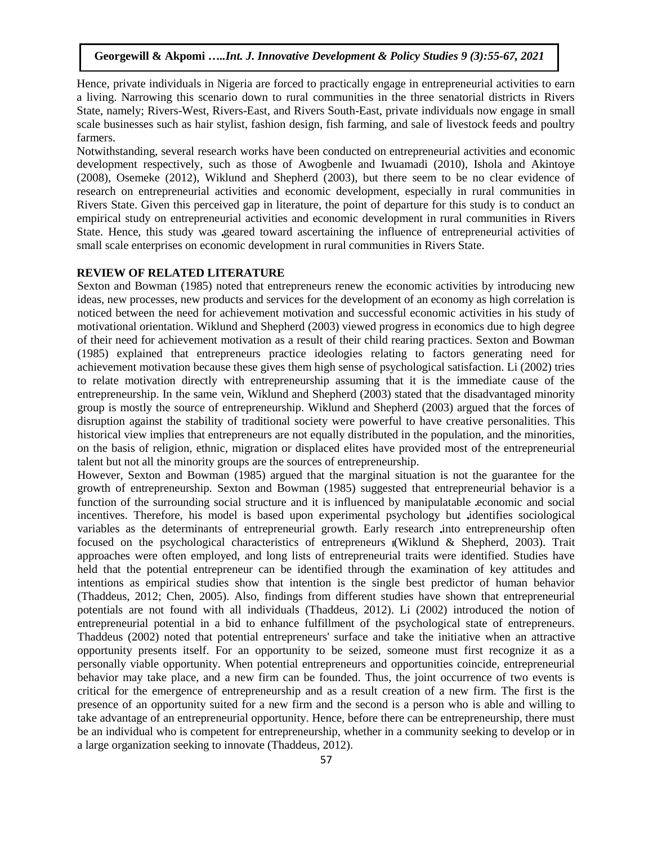Hence, private individuals in Nigeria are forced to practically engage in entrepreneurial activities to earn a living. Narrowing this scenario down to rural communities in the three senatorial districts in Rivers State, namely; Rivers-West, Rivers-East, and Rivers South-East, private individuals now engage in small scale businesses such as hair stylist, fashion design, fish farming, and sale of livestock feeds and poultry farmers.

Notwithstanding, several research works have been conducted on entrepreneurial activities and economic development respectively, such as those of Awogbenle and Iwuamadi (2010), Ishola and Akintoye (2008), Osemeke (2012), Wiklund and Shepherd (2003), but there seem to be no clear evidence of research on entrepreneurial activities and economic development, especially in rural communities in Rivers State. Given this perceived gap in literature, the point of departure for this study is to conduct an empirical study on entrepreneurial activities and economic development in rural communities in Rivers State. Hence, this study was geared toward ascertaining the influence of entrepreneurial activities of small scale enterprises on economic development in rural communities in Rivers State.

#### **REVIEW OF RELATED LITERATURE**

Sexton and Bowman (1985) noted that entrepreneurs renew the economic activities by introducing new ideas, new processes, new products and services for the development of an economy as high correlation is noticed between the need for achievement motivation and successful economic activities in his study of motivational orientation. Wiklund and Shepherd (2003) viewed progress in economics due to high degree of their need for achievement motivation as a result of their child rearing practices. Sexton and Bowman (1985) explained that entrepreneurs practice ideologies relating to factors generating need for achievement motivation because these gives them high sense of psychological satisfaction. Li (2002) tries to relate motivation directly with entrepreneurship assuming that it is the immediate cause of the entrepreneurship. In the same vein, Wiklund and Shepherd (2003) stated that the disadvantaged minority group is mostly the source of entrepreneurship. Wiklund and Shepherd (2003) argued that the forces of disruption against the stability of traditional society were powerful to have creative personalities. This historical view implies that entrepreneurs are not equally distributed in the population, and the minorities, on the basis of religion, ethnic, migration or displaced elites have provided most of the entrepreneurial talent but not all the minority groups are the sources of entrepreneurship.

However, Sexton and Bowman (1985) argued that the marginal situation is not the guarantee for the growth of entrepreneurship. Sexton and Bowman (1985) suggested that entrepreneurial behavior is a function of the surrounding social structure and it is influenced by manipulatable economic and social incentives. Therefore, his model is based upon experimental psychology but identifies sociological variables as the determinants of entrepreneurial growth. Early research into entrepreneurship often focused on the psychological characteristics of entrepreneurs (Wiklund & Shepherd, 2003). Trait approaches were often employed, and long lists of entrepreneurial traits were identified. Studies have held that the potential entrepreneur can be identified through the examination of key attitudes and intentions as empirical studies show that intention is the single best predictor of human behavior (Thaddeus, 2012; Chen, 2005). Also, findings from different studies have shown that entrepreneurial potentials are not found with all individuals (Thaddeus, 2012). Li (2002) introduced the notion of entrepreneurial potential in a bid to enhance fulfillment of the psychological state of entrepreneurs. Thaddeus (2002) noted that potential entrepreneurs' surface and take the initiative when an attractive opportunity presents itself. For an opportunity to be seized, someone must first recognize it as a personally viable opportunity. When potential entrepreneurs and opportunities coincide, entrepreneurial behavior may take place, and a new firm can be founded. Thus, the joint occurrence of two events is critical for the emergence of entrepreneurship and as a result creation of a new firm. The first is the presence of an opportunity suited for a new firm and the second is a person who is able and willing to take advantage of an entrepreneurial opportunity. Hence, before there can be entrepreneurship, there must be an individual who is competent for entrepreneurship, whether in a community seeking to develop or in a large organization seeking to innovate (Thaddeus, 2012).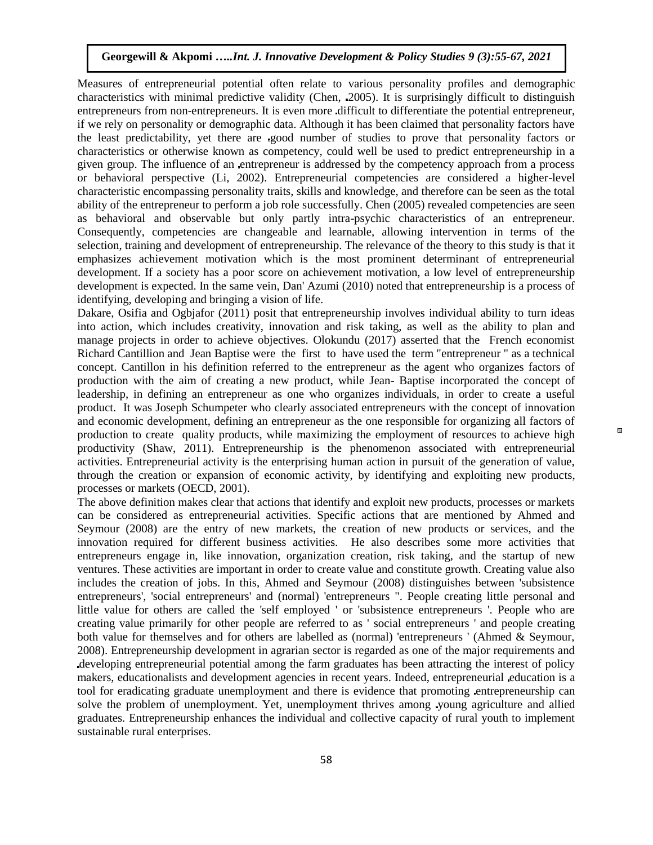Measures of entrepreneurial potential often relate to various personality profiles and demographic characteristics with minimal predictive validity (Chen, 2005). It is surprisingly difficult to distinguish entrepreneurs from non-entrepreneurs. It is even more difficult to differentiate the potential entrepreneur, if we rely on personality or demographic data. Although it has been claimed that personality factors have the least predictability, yet there are good number of studies to prove that personality factors or characteristics or otherwise known as competency, could well be used to predict entrepreneurship in a given group. The influence of an entrepreneur is addressed by the competency approach from a process or behavioral perspective (Li, 2002). Entrepreneurial competencies are considered a higher-level characteristic encompassing personality traits, skills and knowledge, and therefore can be seen as the total ability of the entrepreneur to perform a job role successfully. Chen (2005) revealed competencies are seen as behavioral and observable but only partly intra-psychic characteristics of an entrepreneur. Consequently, competencies are changeable and learnable, allowing intervention in terms of the selection, training and development of entrepreneurship. The relevance of the theory to this study is that it emphasizes achievement motivation which is the most prominent determinant of entrepreneurial development. If a society has a poor score on achievement motivation, a low level of entrepreneurship development is expected. In the same vein, Dan' Azumi (2010) noted that entrepreneurship is a process of identifying, developing and bringing a vision of life.

Dakare, Osifia and Ogbjafor (2011) posit that entrepreneurship involves individual ability to turn ideas into action, which includes creativity, innovation and risk taking, as well as the ability to plan and manage projects in order to achieve objectives. Olokundu (2017) asserted that the French economist Richard Cantillion and Jean Baptise were the first to have used the term "entrepreneur " as a technical concept. Cantillon in his definition referred to the entrepreneur as the agent who organizes factors of production with the aim of creating a new product, while Jean- Baptise incorporated the concept of leadership, in defining an entrepreneur as one who organizes individuals, in order to create a useful product. It was Joseph Schumpeter who clearly associated entrepreneurs with the concept of innovation and economic development, defining an entrepreneur as the one responsible for organizing all factors of production to create quality products, while maximizing the employment of resources to achieve high productivity (Shaw, 2011). Entrepreneurship is the phenomenon associated with entrepreneurial activities. Entrepreneurial activity is the enterprising human action in pursuit of the generation of value, through the creation or expansion of economic activity, by identifying and exploiting new products, processes or markets (OECD, 2001).

The above definition makes clear that actions that identify and exploit new products, processes or markets can be considered as entrepreneurial activities. Specific actions that are mentioned by Ahmed and Seymour (2008) are the entry of new markets, the creation of new products or services, and the innovation required for different business activities. He also describes some more activities that entrepreneurs engage in, like innovation, organization creation, risk taking, and the startup of new ventures. These activities are important in order to create value and constitute growth. Creating value also includes the creation of jobs. In this, Ahmed and Seymour (2008) distinguishes between 'subsistence entrepreneurs', 'social entrepreneurs' and (normal) 'entrepreneurs ". People creating little personal and little value for others are called the 'self employed ' or 'subsistence entrepreneurs '. People who are creating value primarily for other people are referred to as ' social entrepreneurs ' and people creating both value for themselves and for others are labelled as (normal) 'entrepreneurs ' (Ahmed & Seymour, 2008). Entrepreneurship development in agrarian sector is regarded as one of the major requirements and developing entrepreneurial potential among the farm graduates has been attracting the interest of policy makers, educationalists and development agencies in recent years. Indeed, entrepreneurial education is a tool for eradicating graduate unemployment and there is evidence that promoting entrepreneurship can solve the problem of unemployment. Yet, unemployment thrives among young agriculture and allied graduates. Entrepreneurship enhances the individual and collective capacity of rural youth to implement sustainable rural enterprises.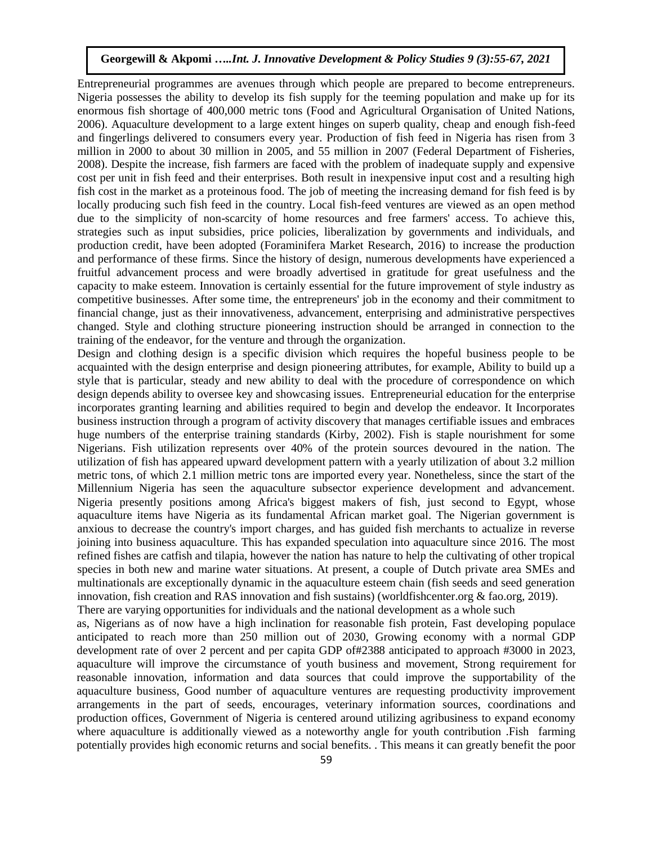Entrepreneurial programmes are avenues through which people are prepared to become entrepreneurs. Nigeria possesses the ability to develop its fish supply for the teeming population and make up for its enormous fish shortage of 400,000 metric tons (Food and Agricultural Organisation of United Nations, 2006). Aquaculture development to a large extent hinges on superb quality, cheap and enough fish-feed and fingerlings delivered to consumers every year. Production of fish feed in Nigeria has risen from 3 million in 2000 to about 30 million in 2005, and 55 million in 2007 (Federal Department of Fisheries, 2008). Despite the increase, fish farmers are faced with the problem of inadequate supply and expensive cost per unit in fish feed and their enterprises. Both result in inexpensive input cost and a resulting high fish cost in the market as a proteinous food. The job of meeting the increasing demand for fish feed is by locally producing such fish feed in the country. Local fish-feed ventures are viewed as an open method due to the simplicity of non-scarcity of home resources and free farmers' access. To achieve this, strategies such as input subsidies, price policies, liberalization by governments and individuals, and production credit, have been adopted (Foraminifera Market Research, 2016) to increase the production and performance of these firms. Since the history of design, numerous developments have experienced a fruitful advancement process and were broadly advertised in gratitude for great usefulness and the capacity to make esteem. Innovation is certainly essential for the future improvement of style industry as competitive businesses. After some time, the entrepreneurs' job in the economy and their commitment to financial change, just as their innovativeness, advancement, enterprising and administrative perspectives changed. Style and clothing structure pioneering instruction should be arranged in connection to the training of the endeavor, for the venture and through the organization.

Design and clothing design is a specific division which requires the hopeful business people to be acquainted with the design enterprise and design pioneering attributes, for example, Ability to build up a style that is particular, steady and new ability to deal with the procedure of correspondence on which design depends ability to oversee key and showcasing issues. Entrepreneurial education for the enterprise incorporates granting learning and abilities required to begin and develop the endeavor. It Incorporates business instruction through a program of activity discovery that manages certifiable issues and embraces huge numbers of the enterprise training standards (Kirby, 2002). Fish is staple nourishment for some Nigerians. Fish utilization represents over 40% of the protein sources devoured in the nation. The utilization of fish has appeared upward development pattern with a yearly utilization of about 3.2 million metric tons, of which 2.1 million metric tons are imported every year. Nonetheless, since the start of the Millennium Nigeria has seen the aquaculture subsector experience development and advancement. Nigeria presently positions among Africa's biggest makers of fish, just second to Egypt, whose aquaculture items have Nigeria as its fundamental African market goal. The Nigerian government is anxious to decrease the country's import charges, and has guided fish merchants to actualize in reverse joining into business aquaculture. This has expanded speculation into aquaculture since 2016. The most refined fishes are catfish and tilapia, however the nation has nature to help the cultivating of other tropical species in both new and marine water situations. At present, a couple of Dutch private area SMEs and multinationals are exceptionally dynamic in the aquaculture esteem chain (fish seeds and seed generation innovation, fish creation and RAS innovation and fish sustains) (worldfishcenter.org & fao.org, 2019). There are varying opportunities for individuals and the national development as a whole such

as, Nigerians as of now have a high inclination for reasonable fish protein, Fast developing populace anticipated to reach more than 250 million out of 2030, Growing economy with a normal GDP development rate of over 2 percent and per capita GDP of#2388 anticipated to approach #3000 in 2023, aquaculture will improve the circumstance of youth business and movement, Strong requirement for reasonable innovation, information and data sources that could improve the supportability of the aquaculture business, Good number of aquaculture ventures are requesting productivity improvement arrangements in the part of seeds, encourages, veterinary information sources, coordinations and production offices, Government of Nigeria is centered around utilizing agribusiness to expand economy where aquaculture is additionally viewed as a noteworthy angle for youth contribution .Fish farming potentially provides high economic returns and social benefits. . This means it can greatly benefit the poor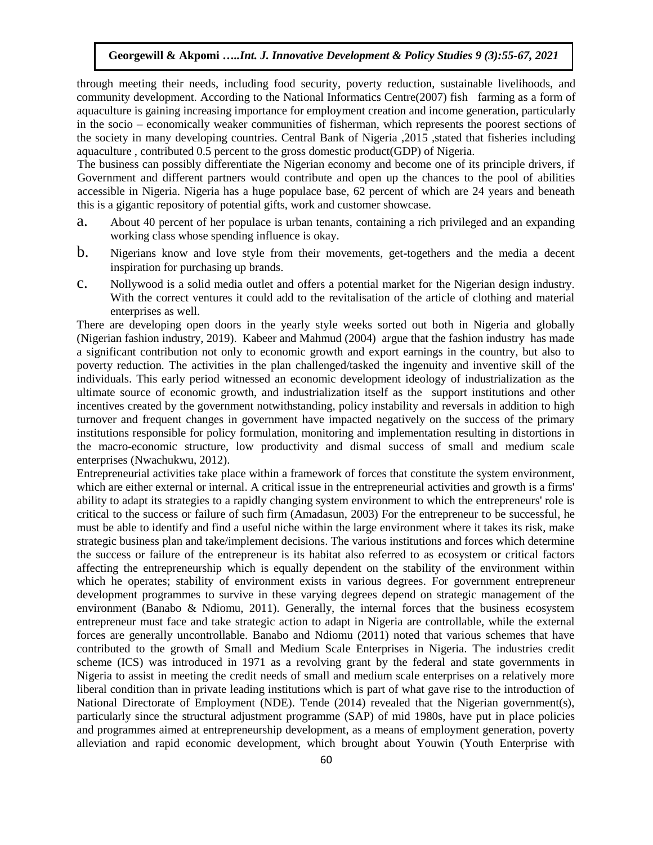through meeting their needs, including food security, poverty reduction, sustainable livelihoods, and community development. According to the National Informatics Centre(2007) fish farming as a form of aquaculture is gaining increasing importance for employment creation and income generation, particularly in the socio – economically weaker communities of fisherman, which represents the poorest sections of the society in many developing countries. Central Bank of Nigeria ,2015 ,stated that fisheries including aquaculture , contributed 0.5 percent to the gross domestic product(GDP) of Nigeria.

The business can possibly differentiate the Nigerian economy and become one of its principle drivers, if Government and different partners would contribute and open up the chances to the pool of abilities accessible in Nigeria. Nigeria has a huge populace base, 62 percent of which are 24 years and beneath this is a gigantic repository of potential gifts, work and customer showcase.

- a. About 40 percent of her populace is urban tenants, containing a rich privileged and an expanding working class whose spending influence is okay.
- b. Nigerians know and love style from their movements, get-togethers and the media a decent inspiration for purchasing up brands.
- c. Nollywood is a solid media outlet and offers a potential market for the Nigerian design industry. With the correct ventures it could add to the revitalisation of the article of clothing and material enterprises as well.

There are developing open doors in the yearly style weeks sorted out both in Nigeria and globally (Nigerian fashion industry, 2019). Kabeer and Mahmud (2004) argue that the fashion industry has made a significant contribution not only to economic growth and export earnings in the country, but also to poverty reduction. The activities in the plan challenged/tasked the ingenuity and inventive skill of the individuals. This early period witnessed an economic development ideology of industrialization as the ultimate source of economic growth, and industrialization itself as the support institutions and other incentives created by the government notwithstanding, policy instability and reversals in addition to high turnover and frequent changes in government have impacted negatively on the success of the primary institutions responsible for policy formulation, monitoring and implementation resulting in distortions in the macro-economic structure, low productivity and dismal success of small and medium scale enterprises (Nwachukwu, 2012).

Entrepreneurial activities take place within a framework of forces that constitute the system environment, which are either external or internal. A critical issue in the entrepreneurial activities and growth is a firms' ability to adapt its strategies to a rapidly changing system environment to which the entrepreneurs' role is critical to the success or failure of such firm (Amadasun, 2003) For the entrepreneur to be successful, he must be able to identify and find a useful niche within the large environment where it takes its risk, make strategic business plan and take/implement decisions. The various institutions and forces which determine the success or failure of the entrepreneur is its habitat also referred to as ecosystem or critical factors affecting the entrepreneurship which is equally dependent on the stability of the environment within which he operates; stability of environment exists in various degrees. For government entrepreneur development programmes to survive in these varying degrees depend on strategic management of the environment (Banabo & Ndiomu, 2011). Generally, the internal forces that the business ecosystem entrepreneur must face and take strategic action to adapt in Nigeria are controllable, while the external forces are generally uncontrollable. Banabo and Ndiomu (2011) noted that various schemes that have contributed to the growth of Small and Medium Scale Enterprises in Nigeria. The industries credit scheme (ICS) was introduced in 1971 as a revolving grant by the federal and state governments in Nigeria to assist in meeting the credit needs of small and medium scale enterprises on a relatively more liberal condition than in private leading institutions which is part of what gave rise to the introduction of National Directorate of Employment (NDE). Tende (2014) revealed that the Nigerian government(s), particularly since the structural adjustment programme (SAP) of mid 1980s, have put in place policies and programmes aimed at entrepreneurship development, as a means of employment generation, poverty alleviation and rapid economic development, which brought about Youwin (Youth Enterprise with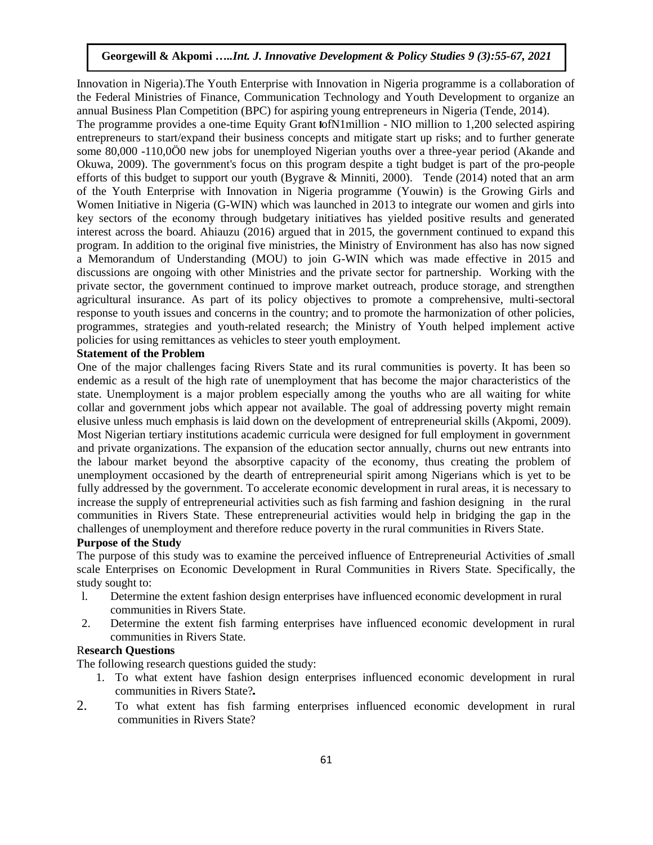Innovation in Nigeria).The Youth Enterprise with Innovation in Nigeria programme is a collaboration of the Federal Ministries of Finance, Communication Technology and Youth Development to organize an annual Business Plan Competition (BPC) for aspiring young entrepreneurs in Nigeria (Tende, 2014).

The programme provides a one-time Equity Grant lofN1million - NIO million to 1,200 selected aspiring entrepreneurs to start/expand their business concepts and mitigate start up risks; and to further generate some 80,000 -110,0Ö0 new jobs for unemployed Nigerian youths over a three-year period (Akande and Okuwa, 2009). The government's focus on this program despite a tight budget is part of the pro-people efforts of this budget to support our youth (Bygrave & Minniti, 2000). Tende (2014) noted that an arm of the Youth Enterprise with Innovation in Nigeria programme (Youwin) is the Growing Girls and Women Initiative in Nigeria (G-WIN) which was launched in 2013 to integrate our women and girls into key sectors of the economy through budgetary initiatives has yielded positive results and generated interest across the board. Ahiauzu (2016) argued that in 2015, the government continued to expand this program. In addition to the original five ministries, the Ministry of Environment has also has now signed a Memorandum of Understanding (MOU) to join G-WIN which was made effective in 2015 and discussions are ongoing with other Ministries and the private sector for partnership. Working with the private sector, the government continued to improve market outreach, produce storage, and strengthen agricultural insurance. As part of its policy objectives to promote a comprehensive, multi-sectoral response to youth issues and concerns in the country; and to promote the harmonization of other policies, programmes, strategies and youth-related research; the Ministry of Youth helped implement active policies for using remittances as vehicles to steer youth employment.

## **Statement of the Problem**

One of the major challenges facing Rivers State and its rural communities is poverty. It has been so endemic as a result of the high rate of unemployment that has become the major characteristics of the state. Unemployment is a major problem especially among the youths who are all waiting for white collar and government jobs which appear not available. The goal of addressing poverty might remain elusive unless much emphasis is laid down on the development of entrepreneurial skills (Akpomi, 2009). Most Nigerian tertiary institutions academic curricula were designed for full employment in government and private organizations. The expansion of the education sector annually, churns out new entrants into the labour market beyond the absorptive capacity of the economy, thus creating the problem of unemployment occasioned by the dearth of entrepreneurial spirit among Nigerians which is yet to be fully addressed by the government. To accelerate economic development in rural areas, it is necessary to increase the supply of entrepreneurial activities such as fish farming and fashion designing in the rural communities in Rivers State. These entrepreneurial activities would help in bridging the gap in the challenges of unemployment and therefore reduce poverty in the rural communities in Rivers State.

# **Purpose of the Study**

The purpose of this study was to examine the perceived influence of Entrepreneurial Activities of small scale Enterprises on Economic Development in Rural Communities in Rivers State. Specifically, the study sought to:

- l. Determine the extent fashion design enterprises have influenced economic development in rural communities in Rivers State.
- 2. Determine the extent fish farming enterprises have influenced economic development in rural communities in Rivers State.

## R**esearch Questions**

The following research questions guided the study:

- 1. To what extent have fashion design enterprises influenced economic development in rural communities in Rivers State?
- 2. To what extent has fish farming enterprises influenced economic development in rural communities in Rivers State?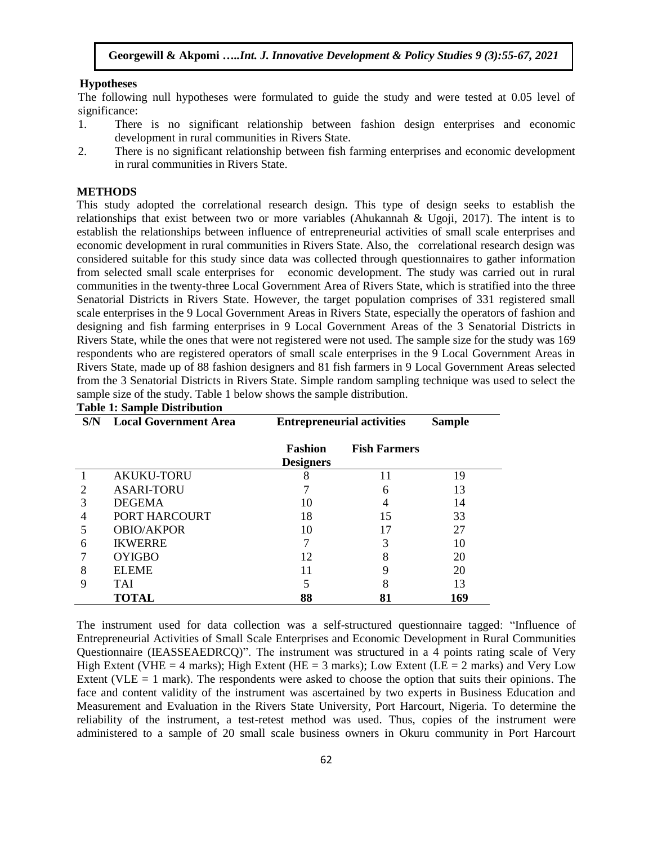#### **Hypotheses**

The following null hypotheses were formulated to guide the study and were tested at 0.05 level of significance:

- 1. There is no significant relationship between fashion design enterprises and economic development in rural communities in Rivers State.
- 2. There is no significant relationship between fish farming enterprises and economic development in rural communities in Rivers State.

#### **METHODS**

This study adopted the correlational research design. This type of design seeks to establish the relationships that exist between two or more variables (Ahukannah & Ugoji, 2017). The intent is to establish the relationships between influence of entrepreneurial activities of small scale enterprises and economic development in rural communities in Rivers State. Also, the correlational research design was considered suitable for this study since data was collected through questionnaires to gather information from selected small scale enterprises for economic development. The study was carried out in rural communities in the twenty-three Local Government Area of Rivers State, which is stratified into the three Senatorial Districts in Rivers State. However, the target population comprises of 331 registered small scale enterprises in the 9 Local Government Areas in Rivers State, especially the operators of fashion and designing and fish farming enterprises in 9 Local Government Areas of the 3 Senatorial Districts in Rivers State, while the ones that were not registered were not used. The sample size for the study was 169 respondents who are registered operators of small scale enterprises in the 9 Local Government Areas in Rivers State, made up of 88 fashion designers and 81 fish farmers in 9 Local Government Areas selected from the 3 Senatorial Districts in Rivers State. Simple random sampling technique was used to select the sample size of the study. Table 1 below shows the sample distribution.

| S/N | <b>Local Government Area</b> | <b>Entrepreneurial activities</b>  | <b>Sample</b>       |     |
|-----|------------------------------|------------------------------------|---------------------|-----|
|     |                              | <b>Fashion</b><br><b>Designers</b> | <b>Fish Farmers</b> |     |
|     | <b>AKUKU-TORU</b>            | 8                                  | 11                  | 19  |
| 2   | <b>ASARI-TORU</b>            |                                    | 6                   | 13  |
| 3   | <b>DEGEMA</b>                | 10                                 | 4                   | 14  |
| 4   | PORT HARCOURT                | 18                                 | 15                  | 33  |
| 5   | <b>OBIO/AKPOR</b>            | 10                                 | 17                  | 27  |
| 6   | <b>IKWERRE</b>               | 7                                  | 3                   | 10  |
|     | <b>OYIGBO</b>                | 12                                 | 8                   | 20  |
| 8   | <b>ELEME</b>                 | 11                                 | 9                   | 20  |
| 9   | TAI                          | 5                                  | 8                   | 13  |
|     | <b>TOTAL</b>                 | 88                                 | 81                  | 169 |

#### **Table 1: Sample Distribution**

The instrument used for data collection was a self-structured questionnaire tagged: "Influence of Entrepreneurial Activities of Small Scale Enterprises and Economic Development in Rural Communities Questionnaire (IEASSEAEDRCQ)". The instrument was structured in a 4 points rating scale of Very High Extent (VHE = 4 marks); High Extent (HE = 3 marks); Low Extent (LE = 2 marks) and Very Low Extent (VLE  $= 1$  mark). The respondents were asked to choose the option that suits their opinions. The face and content validity of the instrument was ascertained by two experts in Business Education and Measurement and Evaluation in the Rivers State University, Port Harcourt, Nigeria. To determine the reliability of the instrument, a test-retest method was used. Thus, copies of the instrument were administered to a sample of 20 small scale business owners in Okuru community in Port Harcourt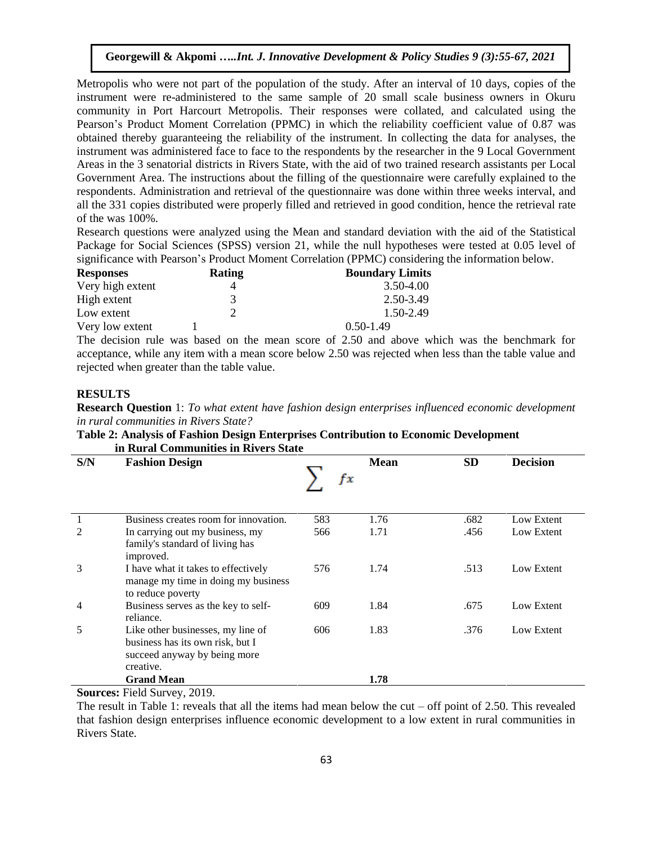Metropolis who were not part of the population of the study. After an interval of 10 days, copies of the instrument were re-administered to the same sample of 20 small scale business owners in Okuru community in Port Harcourt Metropolis. Their responses were collated, and calculated using the Pearson's Product Moment Correlation (PPMC) in which the reliability coefficient value of 0.87 was obtained thereby guaranteeing the reliability of the instrument. In collecting the data for analyses, the instrument was administered face to face to the respondents by the researcher in the 9 Local Government Areas in the 3 senatorial districts in Rivers State, with the aid of two trained research assistants per Local Government Area. The instructions about the filling of the questionnaire were carefully explained to the respondents. Administration and retrieval of the questionnaire was done within three weeks interval, and all the 331 copies distributed were properly filled and retrieved in good condition, hence the retrieval rate of the was 100%.

Research questions were analyzed using the Mean and standard deviation with the aid of the Statistical Package for Social Sciences (SPSS) version 21, while the null hypotheses were tested at 0.05 level of significance with Pearson's Product Moment Correlation (PPMC) considering the information below.

| <b>Responses</b> | Rating | <b>Boundary Limits</b> |
|------------------|--------|------------------------|
| Very high extent |        | 3.50-4.00              |
| High extent      |        | 2.50-3.49              |
| Low extent       |        | 1.50-2.49              |
| Very low extent  |        | $0.50 - 1.49$          |
|                  |        |                        |

The decision rule was based on the mean score of 2.50 and above which was the benchmark for acceptance, while any item with a mean score below 2.50 was rejected when less than the table value and rejected when greater than the table value.

# **RESULTS**

**Research Question** 1: *To what extent have fashion design enterprises influenced economic development in rural communities in Rivers State?*

| Table 2: Analysis of Fashion Design Enterprises Contribution to Economic Development |  |
|--------------------------------------------------------------------------------------|--|
| in Rural Communities in Rivers State                                                 |  |

| S/N    | <b>Fashion Design</b>                                                                                              | fx  | <b>Mean</b> | <b>SD</b> | <b>Decision</b> |  |
|--------|--------------------------------------------------------------------------------------------------------------------|-----|-------------|-----------|-----------------|--|
|        | Business creates room for innovation.                                                                              | 583 | 1.76        | .682      | Low Extent      |  |
| 2      | In carrying out my business, my<br>family's standard of living has<br>improved.                                    | 566 | 1.71        | .456      | Low Extent      |  |
| 3      | I have what it takes to effectively<br>manage my time in doing my business<br>to reduce poverty                    | 576 | 1.74        | .513      | Low Extent      |  |
| 4      | Business serves as the key to self-<br>reliance.                                                                   | 609 | 1.84        | .675      | Low Extent      |  |
| 5      | Like other businesses, my line of<br>business has its own risk, but I<br>succeed anyway by being more<br>creative. | 606 | 1.83        | .376      | Low Extent      |  |
|        | <b>Grand Mean</b>                                                                                                  |     | 1.78        |           |                 |  |
| $\sim$ | $\sim$ $\sim$<br>$\mathbf{r}$ $\mathbf{r}$ $\mathbf{r}$                                                            |     |             |           |                 |  |

**Sources:** Field Survey, 2019.

The result in Table 1: reveals that all the items had mean below the cut – off point of 2.50. This revealed that fashion design enterprises influence economic development to a low extent in rural communities in Rivers State.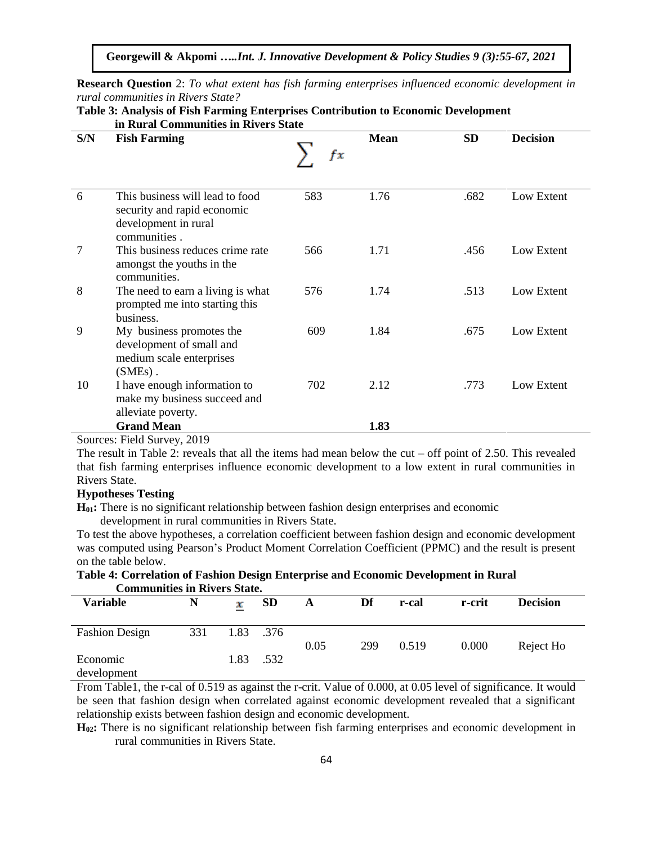**Georgewill & Akpomi …***..Int. J. Innovative Development & Policy Studies 9 (3):55-67, 2021*

**Research Question** 2: *To what extent has fish farming enterprises influenced economic development in rural communities in Rivers State?*

**Table 3: Analysis of Fish Farming Enterprises Contribution to Economic Development**

|        | III Kural Communities in Kivers State                                                                  |     |             |           |                 |  |  |  |
|--------|--------------------------------------------------------------------------------------------------------|-----|-------------|-----------|-----------------|--|--|--|
| S/N    | <b>Fish Farming</b>                                                                                    | fx  | <b>Mean</b> | <b>SD</b> | <b>Decision</b> |  |  |  |
| 6      | This business will lead to food<br>security and rapid economic<br>development in rural<br>communities. | 583 | 1.76        | .682      | Low Extent      |  |  |  |
| 7      | This business reduces crime rate<br>amongst the youths in the<br>communities.                          | 566 | 1.71        | .456      | Low Extent      |  |  |  |
| 8      | The need to earn a living is what<br>prompted me into starting this<br>business.                       | 576 | 1.74        | .513      | Low Extent      |  |  |  |
| 9      | My business promotes the<br>development of small and<br>medium scale enterprises<br>$(SMEs)$ .         | 609 | 1.84        | .675      | Low Extent      |  |  |  |
| 10     | I have enough information to<br>make my business succeed and<br>alleviate poverty.                     | 702 | 2.12        | .773      | Low Extent      |  |  |  |
|        | <b>Grand Mean</b>                                                                                      |     | 1.83        |           |                 |  |  |  |
| $\sim$ | 0.10<br><b>110</b>                                                                                     |     |             |           |                 |  |  |  |

 **in Rural Communities in Rivers State**

Sources: Field Survey, 2019

The result in Table 2: reveals that all the items had mean below the cut – off point of 2.50. This revealed that fish farming enterprises influence economic development to a low extent in rural communities in Rivers State.

# **Hypotheses Testing**

**H01:** There is no significant relationship between fashion design enterprises and economic

development in rural communities in Rivers State.

To test the above hypotheses, a correlation coefficient between fashion design and economic development was computed using Pearson's Product Moment Correlation Coefficient (PPMC) and the result is present on the table below.

#### **Table 4: Correlation of Fashion Design Enterprise and Economic Development in Rural Communities in Rivers State.**

| <u>Communication in Auto Deave</u> |     |      |           |      |     |       |        |                 |
|------------------------------------|-----|------|-----------|------|-----|-------|--------|-----------------|
| <b>Variable</b>                    | N   | х    | <b>SD</b> | A    | Df  | r-cal | r-crit | <b>Decision</b> |
| <b>Fashion Design</b>              | 331 | 1.83 | .376      | 0.05 | 299 | 0.519 | 0.000  | Reject Ho       |
| Economic<br>development            |     | 1.83 | .532      |      |     |       |        |                 |

From Table1, the r-cal of 0.519 as against the r-crit. Value of 0.000, at 0.05 level of significance. It would be seen that fashion design when correlated against economic development revealed that a significant relationship exists between fashion design and economic development.

**H02:** There is no significant relationship between fish farming enterprises and economic development in rural communities in Rivers State.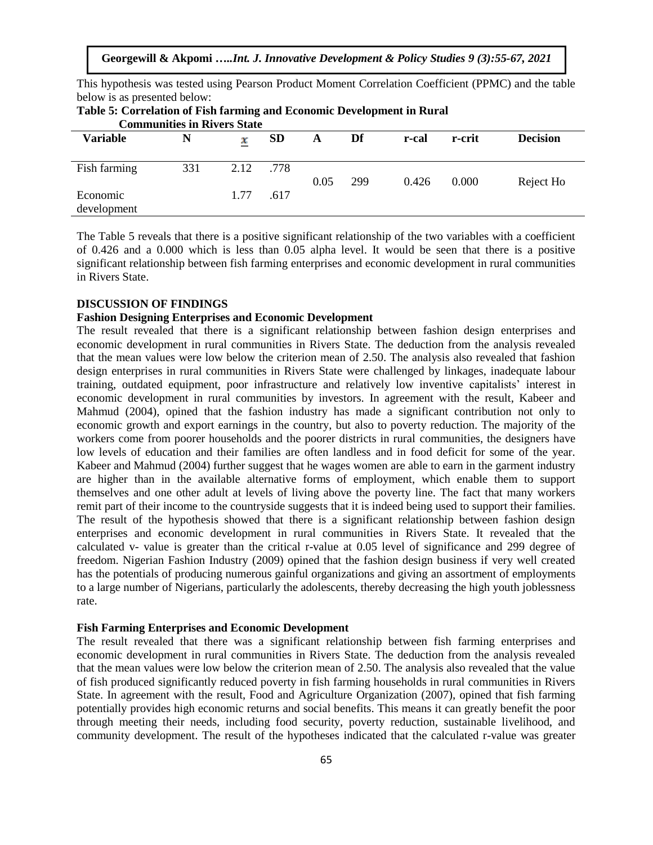| Table 5: Correlation of Fish farming and Economic Development in Rural<br><b>Communities in Rivers State</b> |     |      |           |      |     |       |        |                 |
|--------------------------------------------------------------------------------------------------------------|-----|------|-----------|------|-----|-------|--------|-----------------|
| <b>Variable</b>                                                                                              | N   | x    | <b>SD</b> | A    | Df  | r-cal | r-crit | <b>Decision</b> |
| Fish farming                                                                                                 | 331 | 2.12 | .778      | 0.05 | 299 | 0.426 | 0.000  | Reject Ho       |
| Economic<br>development                                                                                      |     | 1.77 | .617      |      |     |       |        |                 |

This hypothesis was tested using Pearson Product Moment Correlation Coefficient (PPMC) and the table

below is as presented below:

The Table 5 reveals that there is a positive significant relationship of the two variables with a coefficient of 0.426 and a 0.000 which is less than 0.05 alpha level. It would be seen that there is a positive significant relationship between fish farming enterprises and economic development in rural communities in Rivers State.

#### **DISCUSSION OF FINDINGS**

## **Fashion Designing Enterprises and Economic Development**

The result revealed that there is a significant relationship between fashion design enterprises and economic development in rural communities in Rivers State. The deduction from the analysis revealed that the mean values were low below the criterion mean of 2.50. The analysis also revealed that fashion design enterprises in rural communities in Rivers State were challenged by linkages, inadequate labour training, outdated equipment, poor infrastructure and relatively low inventive capitalists' interest in economic development in rural communities by investors. In agreement with the result, Kabeer and Mahmud (2004), opined that the fashion industry has made a significant contribution not only to economic growth and export earnings in the country, but also to poverty reduction. The majority of the workers come from poorer households and the poorer districts in rural communities, the designers have low levels of education and their families are often landless and in food deficit for some of the year. Kabeer and Mahmud (2004) further suggest that he wages women are able to earn in the garment industry are higher than in the available alternative forms of employment, which enable them to support themselves and one other adult at levels of living above the poverty line. The fact that many workers remit part of their income to the countryside suggests that it is indeed being used to support their families. The result of the hypothesis showed that there is a significant relationship between fashion design enterprises and economic development in rural communities in Rivers State. It revealed that the calculated v- value is greater than the critical r-value at 0.05 level of significance and 299 degree of freedom. Nigerian Fashion Industry (2009) opined that the fashion design business if very well created has the potentials of producing numerous gainful organizations and giving an assortment of employments to a large number of Nigerians, particularly the adolescents, thereby decreasing the high youth joblessness rate.

#### **Fish Farming Enterprises and Economic Development**

The result revealed that there was a significant relationship between fish farming enterprises and economic development in rural communities in Rivers State. The deduction from the analysis revealed that the mean values were low below the criterion mean of 2.50. The analysis also revealed that the value of fish produced significantly reduced poverty in fish farming households in rural communities in Rivers State. In agreement with the result, Food and Agriculture Organization (2007), opined that fish farming potentially provides high economic returns and social benefits. This means it can greatly benefit the poor through meeting their needs, including food security, poverty reduction, sustainable livelihood, and community development. The result of the hypotheses indicated that the calculated r-value was greater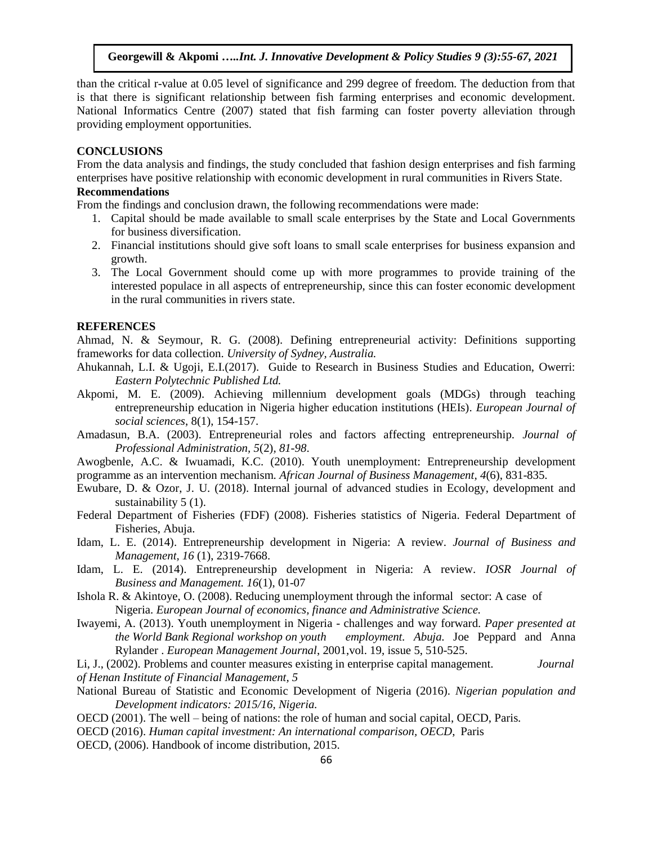than the critical r-value at 0.05 level of significance and 299 degree of freedom. The deduction from that is that there is significant relationship between fish farming enterprises and economic development. National Informatics Centre (2007) stated that fish farming can foster poverty alleviation through providing employment opportunities.

## **CONCLUSIONS**

From the data analysis and findings, the study concluded that fashion design enterprises and fish farming enterprises have positive relationship with economic development in rural communities in Rivers State.

# **Recommendations**

From the findings and conclusion drawn, the following recommendations were made:

- 1. Capital should be made available to small scale enterprises by the State and Local Governments for business diversification.
- 2. Financial institutions should give soft loans to small scale enterprises for business expansion and growth.
- 3. The Local Government should come up with more programmes to provide training of the interested populace in all aspects of entrepreneurship, since this can foster economic development in the rural communities in rivers state.

#### **REFERENCES**

Ahmad, N. & Seymour, R. G. (2008). Defining entrepreneurial activity: Definitions supporting frameworks for data collection. *University of Sydney, Australia.*

- Ahukannah, L.I. & Ugoji, E.I.(2017). Guide to Research in Business Studies and Education, Owerri: *Eastern Polytechnic Published Ltd.*
- Akpomi, M. E. (2009). Achieving millennium development goals (MDGs) through teaching entrepreneurship education in Nigeria higher education institutions (HEIs). *European Journal of social sciences*, 8(1), 154-157.
- Amadasun, B.A. (2003). Entrepreneurial roles and factors affecting entrepreneurship. *Journal of Professional Administration, 5*(2)*, 81-98*.

Awogbenle, A.C. & Iwuamadi, K.C. (2010). Youth unemployment: Entrepreneurship development programme as an intervention mechanism. *African Journal of Business Management, 4*(6), 831-835.

- Ewubare, D. & Ozor, J. U. (2018). Internal journal of advanced studies in Ecology, development and sustainability 5 (1).
- Federal Department of Fisheries (FDF) (2008). Fisheries statistics of Nigeria. Federal Department of Fisheries, Abuja.
- Idam, L. E. (2014). Entrepreneurship development in Nigeria: A review. *Journal of Business and Management, 16* (1), 2319-7668.
- Idam, L. E. (2014). Entrepreneurship development in Nigeria: A review. *IOSR Journal of Business and Management. 16*(1), 01-07

Ishola R. & Akintoye, O. (2008). Reducing unemployment through the informal sector: A case of Nigeria. *European Journal of economics, finance and Administrative Science.*

Iwayemi, A. (2013). Youth unemployment in Nigeria - challenges and way forward. *Paper presented at the World Bank Regional workshop on youth employment. Abuja.* Joe Peppard and Anna Rylander . *European Management Journal*, 2001,vol. 19, issue 5, 510-525.

Li, J., (2002). Problems and counter measures existing in enterprise capital management. *Journal of Henan Institute of Financial Management, 5* 

- National Bureau of Statistic and Economic Development of Nigeria (2016). *Nigerian population and Development indicators: 2015/16, Nigeria.*
- OECD (2001). The well being of nations: the role of human and social capital, OECD, Paris.
- OECD (2016). *Human capital investment: An international comparison, OECD*, Paris
- OECD, (2006). Handbook of income distribution, 2015.